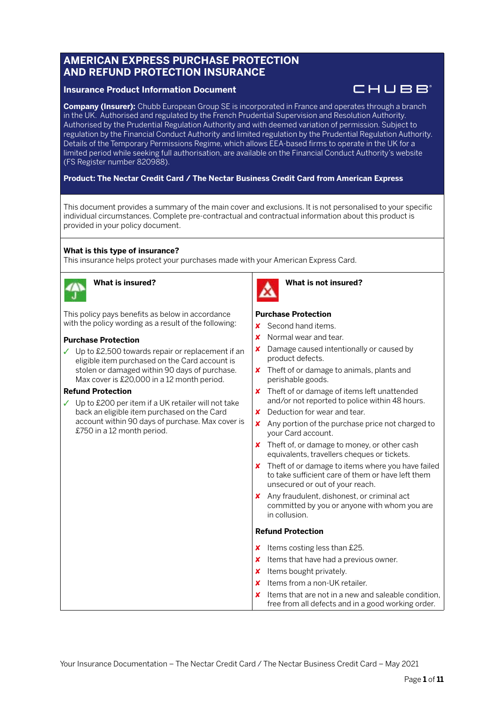# **AMERICAN EXPRESS PURCHASE PROTECTION AND REFUND PROTECTION INSURANCE**

# **Insurance Product Information Document**

CHUBB

**Company (Insurer):** Chubb European Group SE is incorporated in France and operates through a branch in the UK. Authorised and regulated by the French Prudential Supervision and Resolution Authority. Authorised by the Prudential Regulation Authority and with deemed variation of permission. Subject to regulation by the Financial Conduct Authority and limited regulation by the Prudential Regulation Authority. Details of the Temporary Permissions Regime, which allows EEA-based firms to operate in the UK for a limited period while seeking full authorisation, are available on the Financial Conduct Authority's website (FS Register number 820988).

# **Product: The Nectar Credit Card / The Nectar Business Credit Card from American Express**

This document provides a summary of the main cover and exclusions. It is not personalised to your specific individual circumstances. Complete pre-contractual and contractual information about this product is provided in your policy document.

# **What is this type of insurance?**

This insurance helps protect your purchases made with your American Express Card.



# **What is insured?**

This policy pays benefits as below in accordance with the policy wording as a result of the following:

# **Purchase Protection**

✓ Up to £2,500 towards repair or replacement if an eligible item purchased on the Card account is stolen or damaged within 90 days of purchase. Max cover is £20,000 in a 12 month period.

# **Refund Protection**

✓ Up to £200 per item if a UK retailer will not take back an eligible item purchased on the Card account within 90 days of purchase. Max cover is £750 in a 12 month period.



# **What is not insured?**

# **Purchase Protection**

- ✘ Second hand items.
- $\times$  Normal wear and tear.
- ✘ Damage caused intentionally or caused by product defects.
- ✘ Theft of or damage to animals, plants and perishable goods.
- ✘ Theft of or damage of items left unattended and/or not reported to police within 48 hours.
- ✘ Deduction for wear and tear.
- ✘ Any portion of the purchase price not charged to your Card account.
- ✘ Theft of, or damage to money, or other cash equivalents, travellers cheques or tickets.
- ✘ Theft of or damage to items where you have failed to take sufficient care of them or have left them unsecured or out of your reach.
- ✘ Any fraudulent, dishonest, or criminal act committed by you or anyone with whom you are in collusion.

# **Refund Protection**

- **x** Items costing less than £25.
- ✘ Items that have had a previous owner.
- ✘ Items bought privately.
- $\times$  Items from a non-UK retailer.
- ✘ Items that are not in a new and saleable condition, free from all defects and in a good working order.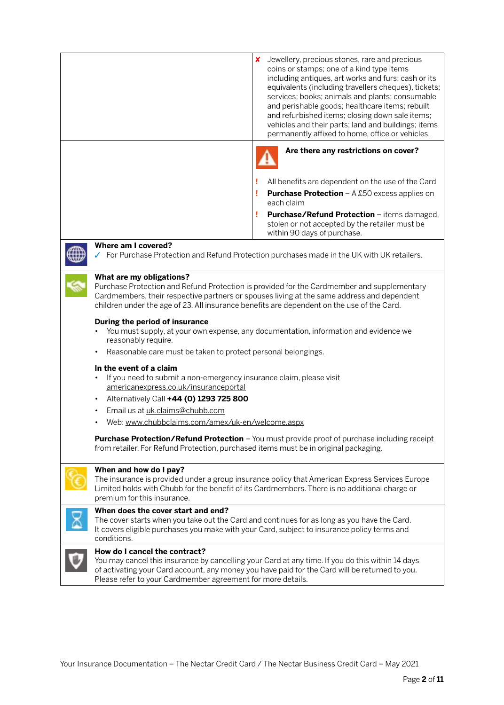|                                                                                                                                                                                                                                                                                                                                                                                                                                                                                                                                                                                                                                                                                                                                                                                                                                                                                                                                                                                                                  | Jewellery, precious stones, rare and precious<br>x<br>coins or stamps; one of a kind type items<br>including antiques, art works and furs; cash or its<br>equivalents (including travellers cheques), tickets;<br>services; books; animals and plants; consumable<br>and perishable goods; healthcare items; rebuilt<br>and refurbished items; closing down sale items;<br>vehicles and their parts; land and buildings; items<br>permanently affixed to home, office or vehicles. |
|------------------------------------------------------------------------------------------------------------------------------------------------------------------------------------------------------------------------------------------------------------------------------------------------------------------------------------------------------------------------------------------------------------------------------------------------------------------------------------------------------------------------------------------------------------------------------------------------------------------------------------------------------------------------------------------------------------------------------------------------------------------------------------------------------------------------------------------------------------------------------------------------------------------------------------------------------------------------------------------------------------------|------------------------------------------------------------------------------------------------------------------------------------------------------------------------------------------------------------------------------------------------------------------------------------------------------------------------------------------------------------------------------------------------------------------------------------------------------------------------------------|
|                                                                                                                                                                                                                                                                                                                                                                                                                                                                                                                                                                                                                                                                                                                                                                                                                                                                                                                                                                                                                  | Are there any restrictions on cover?                                                                                                                                                                                                                                                                                                                                                                                                                                               |
|                                                                                                                                                                                                                                                                                                                                                                                                                                                                                                                                                                                                                                                                                                                                                                                                                                                                                                                                                                                                                  | All benefits are dependent on the use of the Card                                                                                                                                                                                                                                                                                                                                                                                                                                  |
|                                                                                                                                                                                                                                                                                                                                                                                                                                                                                                                                                                                                                                                                                                                                                                                                                                                                                                                                                                                                                  | <b>Purchase Protection</b> $- A £50$ excess applies on<br>т<br>each claim                                                                                                                                                                                                                                                                                                                                                                                                          |
|                                                                                                                                                                                                                                                                                                                                                                                                                                                                                                                                                                                                                                                                                                                                                                                                                                                                                                                                                                                                                  | Purchase/Refund Protection - items damaged,<br>stolen or not accepted by the retailer must be<br>within 90 days of purchase.                                                                                                                                                                                                                                                                                                                                                       |
| Where am I covered?                                                                                                                                                                                                                                                                                                                                                                                                                                                                                                                                                                                                                                                                                                                                                                                                                                                                                                                                                                                              | √ For Purchase Protection and Refund Protection purchases made in the UK with UK retailers.                                                                                                                                                                                                                                                                                                                                                                                        |
| What are my obligations?<br>Purchase Protection and Refund Protection is provided for the Cardmember and supplementary<br>Cardmembers, their respective partners or spouses living at the same address and dependent<br>children under the age of 23. All insurance benefits are dependent on the use of the Card.<br>During the period of insurance<br>You must supply, at your own expense, any documentation, information and evidence we<br>reasonably require.<br>Reasonable care must be taken to protect personal belongings.<br>In the event of a claim<br>If you need to submit a non-emergency insurance claim, please visit<br>americanexpress.co.uk/insuranceportal<br>Alternatively Call +44 (0) 1293 725 800<br>Email us at uk.claims@chubb.com<br>Web: www.chubbclaims.com/amex/uk-en/welcome.aspx<br><b>Purchase Protection/Refund Protection</b> - You must provide proof of purchase including receipt<br>from retailer. For Refund Protection, purchased items must be in original packaging. |                                                                                                                                                                                                                                                                                                                                                                                                                                                                                    |
| When and how do I pay?<br>premium for this insurance.                                                                                                                                                                                                                                                                                                                                                                                                                                                                                                                                                                                                                                                                                                                                                                                                                                                                                                                                                            | The insurance is provided under a group insurance policy that American Express Services Europe<br>Limited holds with Chubb for the benefit of its Cardmembers. There is no additional charge or                                                                                                                                                                                                                                                                                    |
| When does the cover start and end?<br>conditions.                                                                                                                                                                                                                                                                                                                                                                                                                                                                                                                                                                                                                                                                                                                                                                                                                                                                                                                                                                | The cover starts when you take out the Card and continues for as long as you have the Card.<br>It covers eligible purchases you make with your Card, subject to insurance policy terms and                                                                                                                                                                                                                                                                                         |
| How do I cancel the contract?<br>Please refer to your Cardmember agreement for more details.                                                                                                                                                                                                                                                                                                                                                                                                                                                                                                                                                                                                                                                                                                                                                                                                                                                                                                                     | You may cancel this insurance by cancelling your Card at any time. If you do this within 14 days<br>of activating your Card account, any money you have paid for the Card will be returned to you.                                                                                                                                                                                                                                                                                 |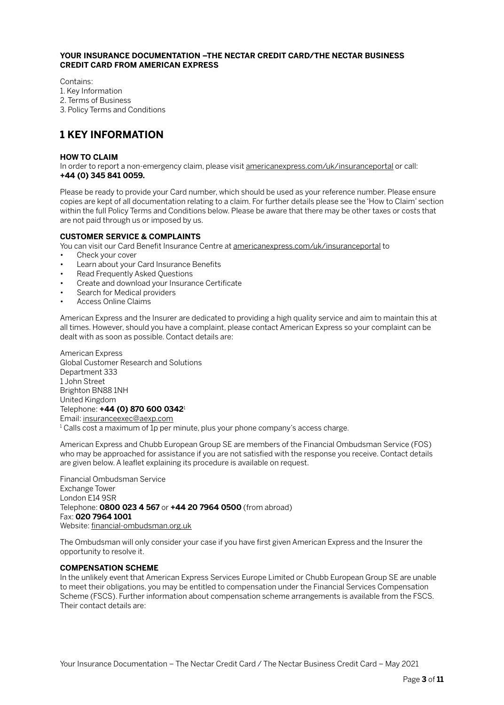### **YOUR INSURANCE DOCUMENTATION –THE NECTAR CREDIT CARD/THE NECTAR BUSINESS CREDIT CARD FROM AMERICAN EXPRESS**

Contains:

1. Key Information

2. Terms of Business

3. Policy Terms and Conditions

# **1 KEY INFORMATION**

# **HOW TO CLAIM**

In order to report a non-emergency claim, please visit [americanexpress.com/uk/insuranceportal](http://americanexpress.com/uk/insuranceportal) or call: **+44 (0) 345 841 0059.**

Please be ready to provide your Card number, which should be used as your reference number. Please ensure copies are kept of all documentation relating to a claim. For further details please see the 'How to Claim' section within the full Policy Terms and Conditions below. Please be aware that there may be other taxes or costs that are not paid through us or imposed by us.

# **CUSTOMER SERVICE & COMPLAINTS**

You can visit our Card Benefit Insurance Centre at [americanexpress.com/uk/insuranceportal](http://americanexpress.com/uk/insuranceportal) to

- Check your cover
- Learn about your Card Insurance Benefits
- Read Frequently Asked Questions
- Create and download your Insurance Certificate
- Search for Medical providers
- Access Online Claims

American Express and the Insurer are dedicated to providing a high quality service and aim to maintain this at all times. However, should you have a complaint, please contact American Express so your complaint can be dealt with as soon as possible. Contact details are:

American Express Global Customer Research and Solutions Department 333 1 John Street Brighton BN88 1NH United Kingdom Telephone: **+44 (0) 870 600 0342**<sup>1</sup> Email: [insuranceexec@aexp.com](mailto:insuranceexec@aexp.com)

 $^1$  Calls cost a maximum of 1p per minute, plus your phone company's access charge.

American Express and Chubb European Group SE are members of the Financial Ombudsman Service (FOS) who may be approached for assistance if you are not satisfied with the response you receive. Contact details are given below. A leaflet explaining its procedure is available on request.

Financial Ombudsman Service Exchange Tower London E14 9SR Telephone: **0800 023 4 567** or **+44 20 7964 0500** (from abroad) Fax: **020 7964 1001** Website: [financial-ombudsman.org.uk](http://financial-ombudsman.org.uk)

The Ombudsman will only consider your case if you have first given American Express and the Insurer the opportunity to resolve it.

#### **COMPENSATION SCHEME**

In the unlikely event that American Express Services Europe Limited or Chubb European Group SE are unable to meet their obligations, you may be entitled to compensation under the Financial Services Compensation Scheme (FSCS). Further information about compensation scheme arrangements is available from the FSCS. Their contact details are: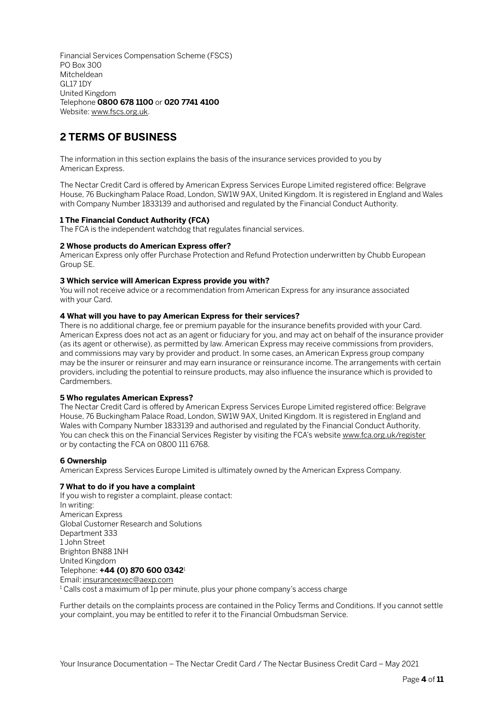Financial Services Compensation Scheme (FSCS) PO Box 300 Mitcheldean GL17 1DY United Kingdom Telephone **0800 678 1100** or **020 7741 4100** Website: [www.fscs.org.uk.](http://www.fscs.org.uk)

# **2 TERMS OF BUSINESS**

The information in this section explains the basis of the insurance services provided to you by American Express.

The Nectar Credit Card is offered by American Express Services Europe Limited registered office: Belgrave House, 76 Buckingham Palace Road, London, SW1W 9AX, United Kingdom. It is registered in England and Wales with Company Number 1833139 and authorised and regulated by the Financial Conduct Authority.

# **1 The Financial Conduct Authority (FCA)**

The FCA is the independent watchdog that regulates financial services.

# **2 Whose products do American Express offer?**

American Express only offer Purchase Protection and Refund Protection underwritten by Chubb European Group SE.

#### **3 Which service will American Express provide you with?**

You will not receive advice or a recommendation from American Express for any insurance associated with your Card.

# **4 What will you have to pay American Express for their services?**

There is no additional charge, fee or premium payable for the insurance benefits provided with your Card. American Express does not act as an agent or fiduciary for you, and may act on behalf of the insurance provider (as its agent or otherwise), as permitted by law. American Express may receive commissions from providers, and commissions may vary by provider and product. In some cases, an American Express group company may be the insurer or reinsurer and may earn insurance or reinsurance income. The arrangements with certain providers, including the potential to reinsure products, may also influence the insurance which is provided to Cardmembers.

# **5 Who regulates American Express?**

The Nectar Credit Card is offered by American Express Services Europe Limited registered office: Belgrave House, 76 Buckingham Palace Road, London, SW1W 9AX, United Kingdom. It is registered in England and Wales with Company Number 1833139 and authorised and regulated by the Financial Conduct Authority. You can check this on the Financial Services Register by visiting the FCA's website [www.fca.org.uk/register](http://www.fca.org.uk/register) or by contacting the FCA on 0800 111 6768.

# **6 Ownership**

American Express Services Europe Limited is ultimately owned by the American Express Company.

# **7 What to do if you have a complaint**

If you wish to register a complaint, please contact: In writing: American Express Global Customer Research and Solutions Department 333 1 John Street Brighton BN88 1NH United Kingdom Telephone: **+44 (0) 870 600 0342**<sup>1</sup> Email: [insuranceexec@aexp.com](mailto:insuranceexec@aexp.com)  $^{\rm 1}$  Calls cost a maximum of 1p per minute, plus your phone company's access charge

Further details on the complaints process are contained in the Policy Terms and Conditions. If you cannot settle your complaint, you may be entitled to refer it to the Financial Ombudsman Service.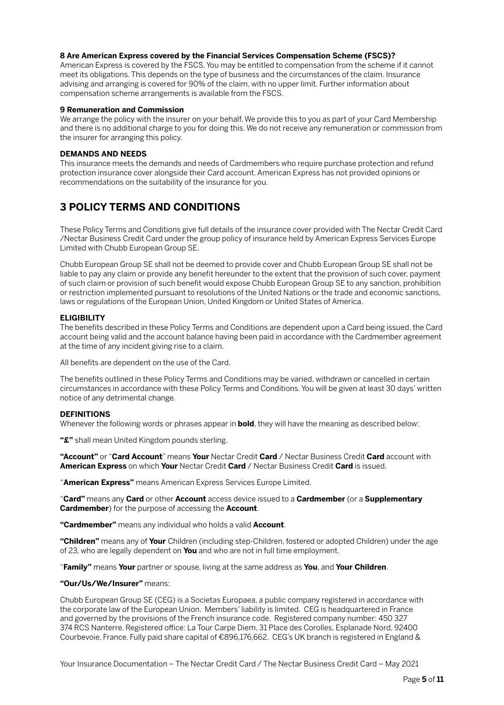### **8 Are American Express covered by the Financial Services Compensation Scheme (FSCS)?**

American Express is covered by the FSCS. You may be entitled to compensation from the scheme if it cannot meet its obligations. This depends on the type of business and the circumstances of the claim. Insurance advising and arranging is covered for 90% of the claim, with no upper limit. Further information about compensation scheme arrangements is available from the FSCS.

#### **9 Remuneration and Commission**

We arrange the policy with the insurer on your behalf. We provide this to you as part of your Card Membership and there is no additional charge to you for doing this. We do not receive any remuneration or commission from the insurer for arranging this policy.

### **DEMANDS AND NEEDS**

This insurance meets the demands and needs of Cardmembers who require purchase protection and refund protection insurance cover alongside their Card account. American Express has not provided opinions or recommendations on the suitability of the insurance for you.

# **3 POLICY TERMS AND CONDITIONS**

These Policy Terms and Conditions give full details of the insurance cover provided with The Nectar Credit Card /Nectar Business Credit Card under the group policy of insurance held by American Express Services Europe Limited with Chubb European Group SE.

Chubb European Group SE shall not be deemed to provide cover and Chubb European Group SE shall not be liable to pay any claim or provide any benefit hereunder to the extent that the provision of such cover, payment of such claim or provision of such benefit would expose Chubb European Group SE to any sanction, prohibition or restriction implemented pursuant to resolutions of the United Nations or the trade and economic sanctions, laws or regulations of the European Union, United Kingdom or United States of America.

#### **ELIGIBILITY**

The benefits described in these Policy Terms and Conditions are dependent upon a Card being issued, the Card account being valid and the account balance having been paid in accordance with the Cardmember agreement at the time of any incident giving rise to a claim.

All benefits are dependent on the use of the Card.

The benefits outlined in these Policy Terms and Conditions may be varied, withdrawn or cancelled in certain circumstances in accordance with these Policy Terms and Conditions. You will be given at least 30 days' written notice of any detrimental change.

# **DEFINITIONS**

Whenever the following words or phrases appear in **bold**, they will have the meaning as described below:

**"£"** shall mean United Kingdom pounds sterling.

**"Account"** or "**Card Account**" means **Your** Nectar Credit **Card** / Nectar Business Credit **Card** account with **American Express** on which **Your** Nectar Credit **Card** / Nectar Business Credit **Card** is issued.

"**American Express"** means American Express Services Europe Limited.

"**Card"** means any **Card** or other **Account** access device issued to a **Cardmember** (or a **Supplementary Cardmember**) for the purpose of accessing the **Account**.

**"Cardmember"** means any individual who holds a valid **Account**.

**"Children"** means any of **Your** Children (including step-Children, fostered or adopted Children) under the age of 23, who are legally dependent on **You** and who are not in full time employment.

"**Family"** means **Your** partner or spouse, living at the same address as **You**, and **Your Children**.

# **"Our/Us/We/Insurer"** means:

Chubb European Group SE (CEG) is a Societas Europaea, a public company registered in accordance with the corporate law of the European Union. Members' liability is limited. CEG is headquartered in France and governed by the provisions of the French insurance code. Registered company number: 450 327 374 RCS Nanterre. Registered office: La Tour Carpe Diem, 31 Place des Corolles, Esplanade Nord, 92400 Courbevoie, France. Fully paid share capital of €896,176,662. CEG's UK branch is registered in England &

Your Insurance Documentation – The Nectar Credit Card / The Nectar Business Credit Card – May 2021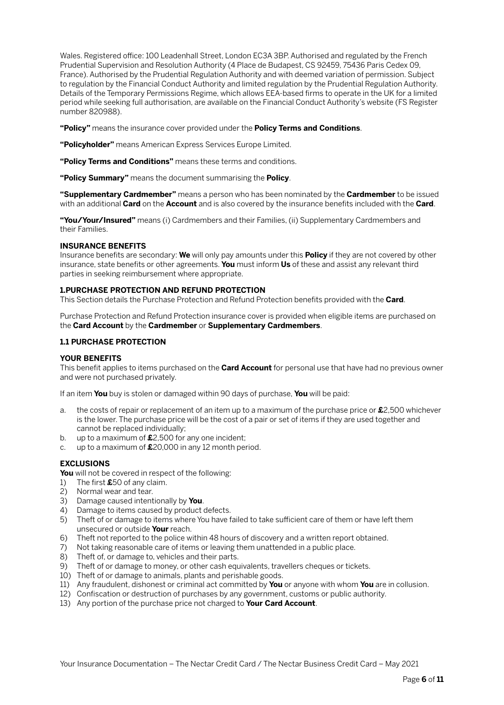Wales. Registered office: 100 Leadenhall Street, London EC3A 3BP. Authorised and regulated by the French Prudential Supervision and Resolution Authority (4 Place de Budapest, CS 92459, 75436 Paris Cedex 09, France). Authorised by the Prudential Regulation Authority and with deemed variation of permission. Subject to regulation by the Financial Conduct Authority and limited regulation by the Prudential Regulation Authority. Details of the Temporary Permissions Regime, which allows EEA-based firms to operate in the UK for a limited period while seeking full authorisation, are available on the Financial Conduct Authority's website (FS Register number 820988).

**"Policy"** means the insurance cover provided under the **Policy Terms and Conditions**.

**"Policyholder"** means American Express Services Europe Limited.

**"Policy Terms and Conditions"** means these terms and conditions.

**"Policy Summary"** means the document summarising the **Policy**.

**"Supplementary Cardmember"** means a person who has been nominated by the **Cardmember** to be issued with an additional **Card** on the **Account** and is also covered by the insurance benefits included with the **Card**.

**"You/Your/Insured"** means (i) Cardmembers and their Families, (ii) Supplementary Cardmembers and their Families.

# **INSURANCE BENEFITS**

Insurance benefits are secondary: **We** will only pay amounts under this **Policy** if they are not covered by other insurance, state benefits or other agreements. **You** must inform **Us** of these and assist any relevant third parties in seeking reimbursement where appropriate.

#### **1.PURCHASE PROTECTION AND REFUND PROTECTION**

This Section details the Purchase Protection and Refund Protection benefits provided with the **Card**.

Purchase Protection and Refund Protection insurance cover is provided when eligible items are purchased on the **Card Account** by the **Cardmember** or **Supplementary Cardmembers**.

# **1.1 PURCHASE PROTECTION**

# **YOUR BENEFITS**

This benefit applies to items purchased on the **Card Account** for personal use that have had no previous owner and were not purchased privately.

If an item **You** buy is stolen or damaged within 90 days of purchase, **You** will be paid:

- a. the costs of repair or replacement of an item up to a maximum of the purchase price or **£**2,500 whichever is the lower. The purchase price will be the cost of a pair or set of items if they are used together and cannot be replaced individually;
- b. up to a maximum of **£**2,500 for any one incident;
- c. up to a maximum of **£**20,000 in any 12 month period.

# **EXCLUSIONS**

**You** will not be covered in respect of the following:

- 1) The first **£**50 of any claim.
- 2) Normal wear and tear.
- 3) Damage caused intentionally by **You**.
- 4) Damage to items caused by product defects.
- 5) Theft of or damage to items where You have failed to take sufficient care of them or have left them unsecured or outside **Your** reach.
- 6) Theft not reported to the police within 48 hours of discovery and a written report obtained.
- 7) Not taking reasonable care of items or leaving them unattended in a public place.
- 8) Theft of, or damage to, vehicles and their parts.
- 9) Theft of or damage to money, or other cash equivalents, travellers cheques or tickets.
- 10) Theft of or damage to animals, plants and perishable goods.
- 11) Any fraudulent, dishonest or criminal act committed by **You** or anyone with whom **You** are in collusion.
- 12) Confiscation or destruction of purchases by any government, customs or public authority.
- 13) Any portion of the purchase price not charged to **Your Card Account**.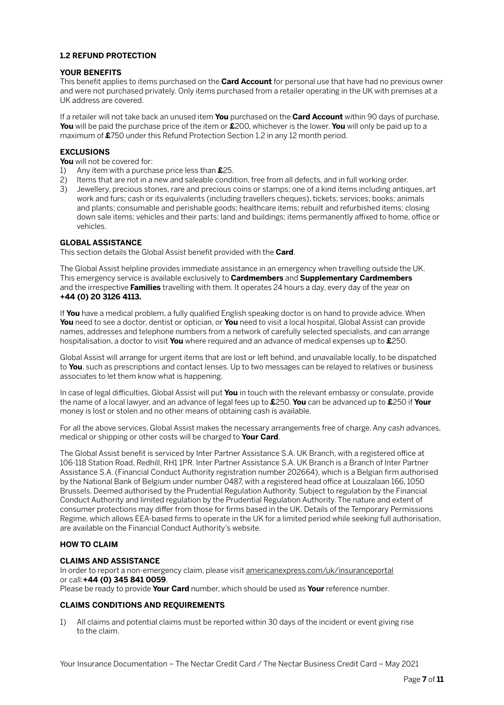# **1.2 REFUND PROTECTION**

# **YOUR BENEFITS**

This benefit applies to items purchased on the **Card Account** for personal use that have had no previous owner and were not purchased privately. Only items purchased from a retailer operating in the UK with premises at a UK address are covered.

If a retailer will not take back an unused item **You** purchased on the **Card Account** within 90 days of purchase, **You** will be paid the purchase price of the item or **£**200, whichever is the lower. **You** will only be paid up to a maximum of **£**750 under this Refund Protection Section 1.2 in any 12 month period.

# **EXCLUSIONS**

**You** will not be covered for:<br>1) Any item with a purcha

- 1) Any item with a purchase price less than **£**25.
- 2) Items that are not in a new and saleable condition, free from all defects, and in full working order.
- 3) Jewellery, precious stones, rare and precious coins or stamps; one of a kind items including antiques, art work and furs; cash or its equivalents (including travellers cheques), tickets; services; books; animals and plants; consumable and perishable goods; healthcare items; rebuilt and refurbished items; closing down sale items; vehicles and their parts; land and buildings; items permanently affixed to home, office or vehicles.

# **GLOBAL ASSISTANCE**

This section details the Global Assist benefit provided with the **Card**.

The Global Assist helpline provides immediate assistance in an emergency when travelling outside the UK. This emergency service is available exclusively to **Cardmembers** and **Supplementary Cardmembers** and the irrespective **Families** travelling with them. It operates 24 hours a day, every day of the year on **+44 (0) 20 3126 4113.**

If **You** have a medical problem, a fully qualified English speaking doctor is on hand to provide advice. When **You** need to see a doctor, dentist or optician, or **You** need to visit a local hospital, Global Assist can provide names, addresses and telephone numbers from a network of carefully selected specialists, and can arrange hospitalisation, a doctor to visit **You** where required and an advance of medical expenses up to **£**250.

Global Assist will arrange for urgent items that are lost or left behind, and unavailable locally, to be dispatched to **You**, such as prescriptions and contact lenses. Up to two messages can be relayed to relatives or business associates to let them know what is happening.

In case of legal difficulties, Global Assist will put **You** in touch with the relevant embassy or consulate, provide the name of a local lawyer, and an advance of legal fees up to **£**250. **You** can be advanced up to **£**250 if **Your** money is lost or stolen and no other means of obtaining cash is available.

For all the above services, Global Assist makes the necessary arrangements free of charge. Any cash advances, medical or shipping or other costs will be charged to **Your Card**.

The Global Assist benefit is serviced by Inter Partner Assistance S.A. UK Branch, with a registered office at 106-118 Station Road, Redhill, RH1 1PR. Inter Partner Assistance S.A. UK Branch is a Branch of Inter Partner Assistance S.A. (Financial Conduct Authority registration number 202664), which is a Belgian firm authorised by the National Bank of Belgium under number 0487, with a registered head office at Louizalaan 166, 1050 Brussels. Deemed authorised by the Prudential Regulation Authority. Subject to regulation by the Financial Conduct Authority and limited regulation by the Prudential Regulation Authority. The nature and extent of consumer protections may differ from those for firms based in the UK. Details of the Temporary Permissions Regime, which allows EEA-based firms to operate in the UK for a limited period while seeking full authorisation, are available on the Financial Conduct Authority's website.

# **HOW TO CLAIM**

# **CLAIMS AND ASSISTANCE**

In order to report a non-emergency claim, please visit [americanexpress.com/uk/insuranceportal](http://americanexpress.com/uk/insuranceportal) or call:**+44 (0) 345 841 0059**.

Please be ready to provide **Your Card** number, which should be used as **Your** reference number.

# **CLAIMS CONDITIONS AND REQUIREMENTS**

1) All claims and potential claims must be reported within 30 days of the incident or event giving rise to the claim.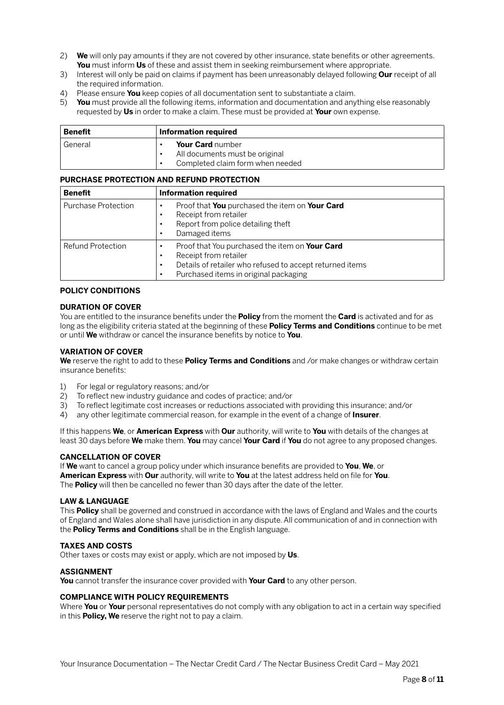- 2) **We** will only pay amounts if they are not covered by other insurance, state benefits or other agreements. **You** must inform **Us** of these and assist them in seeking reimbursement where appropriate.
- 3) Interest will only be paid on claims if payment has been unreasonably delayed following **Our** receipt of all the required information.
- 4) Please ensure **You** keep copies of all documentation sent to substantiate a claim.
- 5) **You** must provide all the following items, information and documentation and anything else reasonably requested by **Us** in order to make a claim. These must be provided at **Your** own expense.

| <b>Benefit</b> | Information required                                                                   |  |
|----------------|----------------------------------------------------------------------------------------|--|
| General        | Your Card number<br>All documents must be original<br>Completed claim form when needed |  |

#### **PURCHASE PROTECTION AND REFUND PROTECTION**

| <b>Benefit</b>             | <b>Information required</b>                                                                                                                                                                            |
|----------------------------|--------------------------------------------------------------------------------------------------------------------------------------------------------------------------------------------------------|
| <b>Purchase Protection</b> | Proof that You purchased the item on Your Card<br>Receipt from retailer<br>$\bullet$<br>Report from police detailing theft<br>Damaged items                                                            |
| <b>Refund Protection</b>   | Proof that You purchased the item on Your Card<br>Receipt from retailer<br>$\bullet$<br>Details of retailer who refused to accept returned items<br>$\bullet$<br>Purchased items in original packaging |

### **POLICY CONDITIONS**

#### **DURATION OF COVER**

You are entitled to the insurance benefits under the **Policy** from the moment the **Card** is activated and for as long as the eligibility criteria stated at the beginning of these **Policy Terms and Conditions** continue to be met or until **We** withdraw or cancel the insurance benefits by notice to **You**.

### **VARIATION OF COVER**

**We** reserve the right to add to these **Policy Terms and Conditions** and /or make changes or withdraw certain insurance benefits:

- 1) For legal or regulatory reasons; and/or
- 2) To reflect new industry guidance and codes of practice; and/or
- 3) To reflect legitimate cost increases or reductions associated with providing this insurance; and/or
- 4) any other legitimate commercial reason, for example in the event of a change of **Insurer**.

If this happens **We**, or **American Express** with **Our** authority, will write to **You** with details of the changes at least 30 days before **We** make them. **You** may cancel **Your Card** if **You** do not agree to any proposed changes.

# **CANCELLATION OF COVER**

If **We** want to cancel a group policy under which insurance benefits are provided to **You**, **We**, or **American Express** with **Our** authority, will write to **You** at the latest address held on file for **You**. The **Policy** will then be cancelled no fewer than 30 days after the date of the letter.

#### **LAW & LANGUAGE**

This **Policy** shall be governed and construed in accordance with the laws of England and Wales and the courts of England and Wales alone shall have jurisdiction in any dispute. All communication of and in connection with the **Policy Terms and Conditions** shall be in the English language.

#### **TAXES AND COSTS**

Other taxes or costs may exist or apply, which are not imposed by **Us**.

#### **ASSIGNMENT**

**You** cannot transfer the insurance cover provided with **Your Card** to any other person.

#### **COMPLIANCE WITH POLICY REQUIREMENTS**

Where **You** or **Your** personal representatives do not comply with any obligation to act in a certain way specified in this **Policy, We** reserve the right not to pay a claim.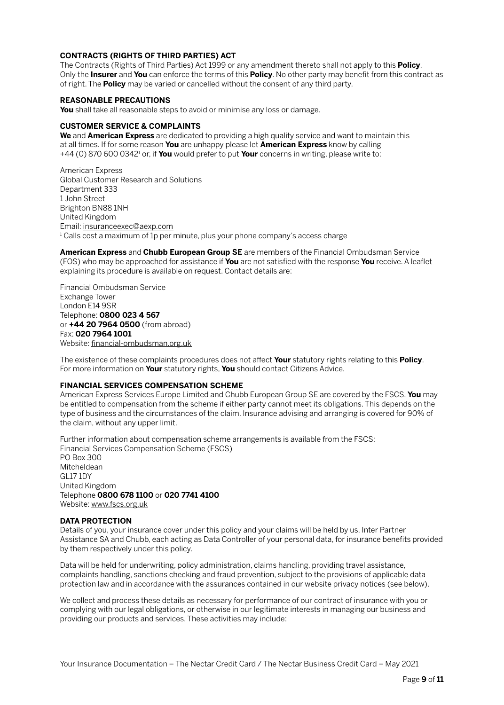# **CONTRACTS (RIGHTS OF THIRD PARTIES) ACT**

The Contracts (Rights of Third Parties) Act 1999 or any amendment thereto shall not apply to this **Policy**. Only the **Insurer** and **You** can enforce the terms of this **Policy**. No other party may benefit from this contract as of right. The **Policy** may be varied or cancelled without the consent of any third party.

# **REASONABLE PRECAUTIONS**

**You** shall take all reasonable steps to avoid or minimise any loss or damage.

#### **CUSTOMER SERVICE & COMPLAINTS**

**We** and **American Express** are dedicated to providing a high quality service and want to maintain this at all times. If for some reason **You** are unhappy please let **American Express** know by calling +44 (0) 870 600 0342<sup>1</sup> or, if **You** would prefer to put **Your** concerns in writing, please write to:

American Express Global Customer Research and Solutions Department 333 1 John Street Brighton BN88 1NH United Kingdom Email: [insuranceexec@aexp.com](mailto:insuranceexec@aexp.com)  $^{\rm 1}$ Calls cost a maximum of 1p per minute, plus your phone company's access charge

**American Express** and **Chubb European Group SE** are members of the Financial Ombudsman Service (FOS) who may be approached for assistance if **You** are not satisfied with the response **You** receive. A leaflet explaining its procedure is available on request. Contact details are:

Financial Ombudsman Service Exchange Tower London E14 9SR Telephone: **0800 023 4 567**  or **+44 20 7964 0500** (from abroad) Fax: **020 7964 1001** Website: [financial-ombudsman.org.uk](http://financial-ombudsman.org.uk)

The existence of these complaints procedures does not affect **Your** statutory rights relating to this **Policy**. For more information on **Your** statutory rights, **You** should contact Citizens Advice.

# **FINANCIAL SERVICES COMPENSATION SCHEME**

American Express Services Europe Limited and Chubb European Group SE are covered by the FSCS. **You** may be entitled to compensation from the scheme if either party cannot meet its obligations. This depends on the type of business and the circumstances of the claim. Insurance advising and arranging is covered for 90% of the claim, without any upper limit.

Further information about compensation scheme arrangements is available from the FSCS: Financial Services Compensation Scheme (FSCS) PO Box 300 Mitcheldean GL17 1DY

United Kingdom Telephone **0800 678 1100** or **020 7741 4100** Website: [www.fscs.org.uk](http://www.fscs.org.uk)

# **DATA PROTECTION**

Details of you, your insurance cover under this policy and your claims will be held by us, Inter Partner Assistance SA and Chubb, each acting as Data Controller of your personal data, for insurance benefits provided by them respectively under this policy.

Data will be held for underwriting, policy administration, claims handling, providing travel assistance, complaints handling, sanctions checking and fraud prevention, subject to the provisions of applicable data protection law and in accordance with the assurances contained in our website privacy notices (see below).

We collect and process these details as necessary for performance of our contract of insurance with you or complying with our legal obligations, or otherwise in our legitimate interests in managing our business and providing our products and services. These activities may include: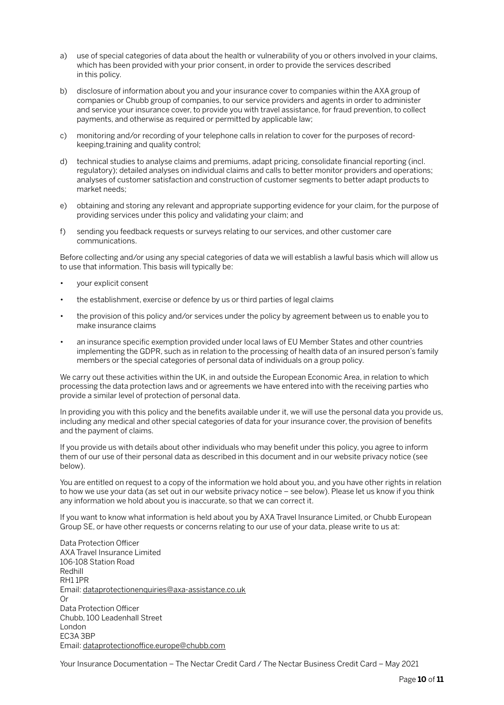- a) use of special categories of data about the health or vulnerability of you or others involved in your claims, which has been provided with your prior consent, in order to provide the services described in this policy.
- b) disclosure of information about you and your insurance cover to companies within the AXA group of companies or Chubb group of companies, to our service providers and agents in order to administer and service your insurance cover, to provide you with travel assistance, for fraud prevention, to collect payments, and otherwise as required or permitted by applicable law;
- c) monitoring and/or recording of your telephone calls in relation to cover for the purposes of recordkeeping,training and quality control;
- d) technical studies to analyse claims and premiums, adapt pricing, consolidate financial reporting (incl. regulatory); detailed analyses on individual claims and calls to better monitor providers and operations; analyses of customer satisfaction and construction of customer segments to better adapt products to market needs;
- e) obtaining and storing any relevant and appropriate supporting evidence for your claim, for the purpose of providing services under this policy and validating your claim; and
- f) sending you feedback requests or surveys relating to our services, and other customer care communications.

Before collecting and/or using any special categories of data we will establish a lawful basis which will allow us to use that information. This basis will typically be:

- your explicit consent
- the establishment, exercise or defence by us or third parties of legal claims
- the provision of this policy and/or services under the policy by agreement between us to enable you to make insurance claims
- an insurance specific exemption provided under local laws of EU Member States and other countries implementing the GDPR, such as in relation to the processing of health data of an insured person's family members or the special categories of personal data of individuals on a group policy.

We carry out these activities within the UK, in and outside the European Economic Area, in relation to which processing the data protection laws and or agreements we have entered into with the receiving parties who provide a similar level of protection of personal data.

In providing you with this policy and the benefits available under it, we will use the personal data you provide us, including any medical and other special categories of data for your insurance cover, the provision of benefits and the payment of claims.

If you provide us with details about other individuals who may benefit under this policy, you agree to inform them of our use of their personal data as described in this document and in our website privacy notice (see below).

You are entitled on request to a copy of the information we hold about you, and you have other rights in relation to how we use your data (as set out in our website privacy notice – see below). Please let us know if you think any information we hold about you is inaccurate, so that we can correct it.

If you want to know what information is held about you by AXA Travel Insurance Limited, or Chubb European Group SE, or have other requests or concerns relating to our use of your data, please write to us at:

Data Protection Officer AXA Travel Insurance Limited 106-108 Station Road Redhill RH1 1PR Email: [dataprotectionenquiries@axa-assistance.co.uk](mailto:dataprotectionenquiries@axa-assistance.co.uk) Or Data Protection Officer Chubb, 100 Leadenhall Street London EC3A 3BP Email: [dataprotectionoffice.europe@chubb.com](mailto:dataprotectionoffice.europe@chubb.com)

Your Insurance Documentation – The Nectar Credit Card / The Nectar Business Credit Card – May 2021